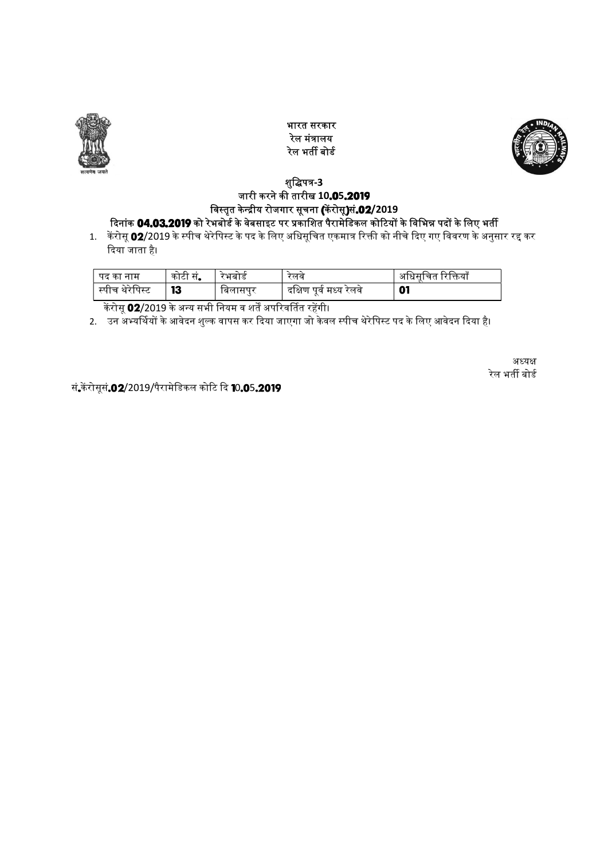

भारत सरकार रेल मंᮢालय रेल भर्ती बोर्ड



## शुद्धिपत्र-3 जारी करने की तारीख 10**.05.2019** विस्तृत केन्द्रीय रोजगार सूचना **(**केंरोसू**)सं.02**/2019

दिनांक 04.03.2019 को रेभबोर्ड के वेबसाइट पर प्रकाशित पैरामेडिकल कोटियों के विभिन्न पदों के लिए भतीं 1. करोसू 02/2019 के स्पीच थेरेपिस्ट के पद के लिए अधिसूचित एकमात्र रिक्ती को नीचे दिए गए विवरण के अनुसार रद्द कर दिया जाता है।

| पद का<br>नाम      | ' कोटी स. | ™भबोड   | लव                                   | आधसान<br>प्राक्तया<br>'चत |
|-------------------|-----------|---------|--------------------------------------|---------------------------|
| र्स्पीच थेरेपिस्ट | 13        | ाबलासपर | <sup>.</sup> पर्व मध्य रलव<br>दाक्षण | 01                        |

केरोसू 02/2019 के अन्य सभी नियम व शर्तें अपरिवर्तित रहेंगी।

2. उन अभ्यर्थियों के आवेदन शुल्क वापस कर दिया जाएगा जो केवल स्पीच थेरेपिस्ट पद के लिए आवेदन दिया है।<br>2. उन अभ्यर्थियों के आवेदन शुल्क वापस कर दिया जाएगा जो केवल स्पीच थेरेपिस्ट पद के लिए आवेदन दिया है।

अध्यक्ष रेल भर्ती बोर्ड

सं.केंरोसूसं.02/2019/पैरामेडिकल कोटि दि 10.05.2019